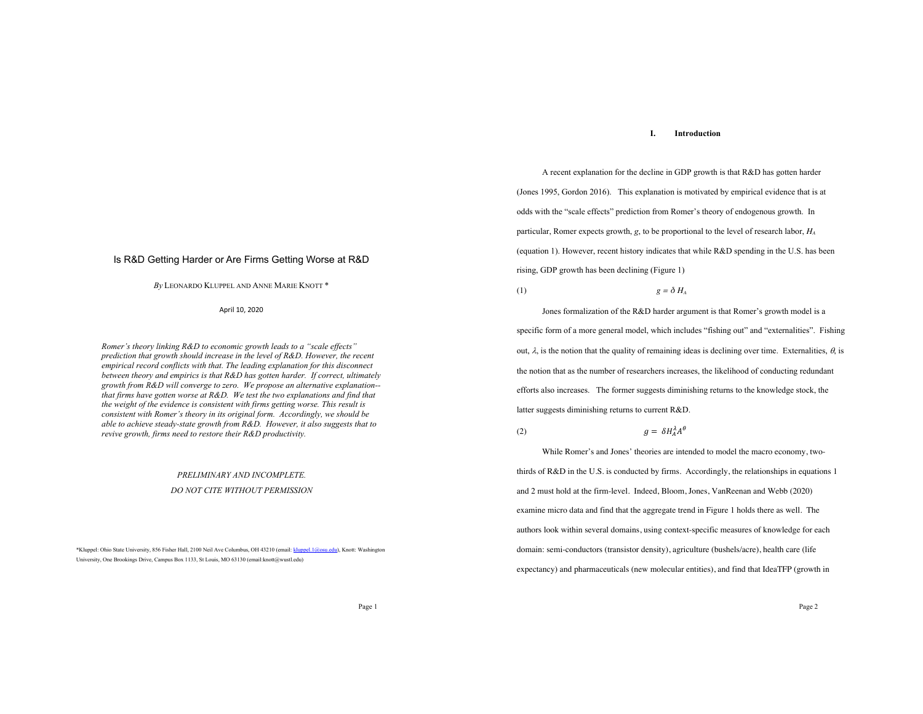## **I. Introduction**

A recent explanation for the decline in GDP growth is that R&D has gotten harder (Jones 1995, Gordon 2016). This explanation is motivated by empirical evidence that is at odds with the "scale effects" prediction from Romer's theory of endogenous growth. In particular, Romer expects growth, *g*, to be proportional to the level of research labor, *HA* (equation 1). However, recent history indicates that while R&D spending in the U.S. has been rising, GDP growth has been declining (Figure 1)

$$
(1) \t\t\t g = \delta H_A
$$

Jones formalization of the R&D harder argument is that Romer's growth model is a specific form of a more general model, which includes "fishing out" and "externalities". Fishing out,  $\lambda$ , is the notion that the quality of remaining ideas is declining over time. Externalities,  $\theta$ , is the notion that as the number of researchers increases, the likelihood of conducting redundant efforts also increases. The former suggests diminishing returns to the knowledge stock, the latter suggests diminishing returns to current R&D.

(2)  $g = \delta H_A^{\lambda} A^{\theta}$ 

While Romer's and Jones' theories are intended to model the macro economy, twothirds of R&D in the U.S. is conducted by firms. Accordingly, the relationships in equations 1 and 2 must hold at the firm-level. Indeed, Bloom, Jones, VanReenan and Webb (2020) examine micro data and find that the aggregate trend in Figure 1 holds there as well. The authors look within several domains, using context-specific measures of knowledge for each domain: semi-conductors (transistor density), agriculture (bushels/acre), health care (life expectancy) and pharmaceuticals (new molecular entities), and find that IdeaTFP (growth in

### Is R&D Getting Harder or Are Firms Getting Worse at R&D

*By* LEONARDO KLUPPEL AND ANNE MARIE KNOTT \*

April 10, 2020

*Romer's theory linking R&D to economic growth leads to a "scale effects" prediction that growth should increase in the level of R&D. However, the recent empirical record conflicts with that. The leading explanation for this disconnect between theory and empirics is that R&D has gotten harder. If correct, ultimately growth from R&D will converge to zero. We propose an alternative explanation- that firms have gotten worse at R&D. We test the two explanations and find that the weight of the evidence is consistent with firms getting worse. This result is consistent with Romer's theory in its original form. Accordingly, we should be able to achieve steady-state growth from R&D. However, it also suggests that to revive growth, firms need to restore their R&D productivity.*

# *PRELIMINARY AND INCOMPLETE. DO NOT CITE WITHOUT PERMISSION*

\*Kluppel: Ohio State University, 856 Fisher Hall, 2100 Neil Ave Columbus, OH 43210 (email: kluppel.1@osu.edu), Knott: Washington University, One Brookings Drive, Campus Box 1133, St Louis, MO 63130 (email:knott@wustl.edu)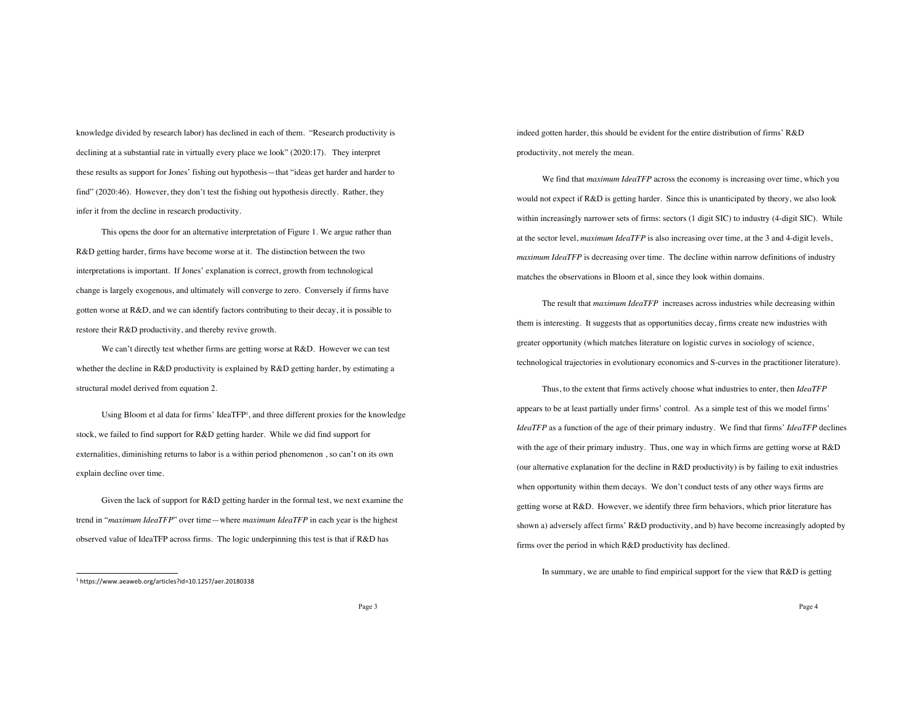knowledge divided by research labor) has declined in each of them. "Research productivity is declining at a substantial rate in virtually every place we look" (2020:17). They interpret these results as support for Jones' fishing out hypothesis—that "ideas get harder and harder to find" (2020:46). However, they don't test the fishing out hypothesis directly. Rather, they infer it from the decline in research productivity.

This opens the door for an alternative interpretation of Figure 1. We argue rather than R&D getting harder, firms have become worse at it. The distinction between the two interpretations is important. If Jones' explanation is correct, growth from technological change is largely exogenous, and ultimately will converge to zero. Conversely if firms have gotten worse at R&D, and we can identify factors contributing to their decay, it is possible to restore their R&D productivity, and thereby revive growth.

We can't directly test whether firms are getting worse at R&D. However we can test whether the decline in R&D productivity is explained by R&D getting harder, by estimating a structural model derived from equation 2.

Using Bloom et al data for firms' IdeaTFP1, and three different proxies for the knowledge stock, we failed to find support for R&D getting harder. While we did find support for externalities, diminishing returns to labor is a within period phenomenon , so can't on its own explain decline over time.

Given the lack of support for R&D getting harder in the formal test, we next examine the trend in "*maximum IdeaTFP*" over time—where *maximum IdeaTFP* in each year is the highest observed value of IdeaTFP across firms. The logic underpinning this test is that if R&D has

indeed gotten harder, this should be evident for the entire distribution of firms' R&D productivity, not merely the mean.

We find that *maximum IdeaTFP* across the economy is increasing over time, which you would not expect if R&D is getting harder. Since this is unanticipated by theory, we also look within increasingly narrower sets of firms: sectors (1 digit SIC) to industry (4-digit SIC). While at the sector level, *maximum IdeaTFP* is also increasing over time, at the 3 and 4-digit levels, *maximum IdeaTFP* is decreasing over time. The decline within narrow definitions of industry matches the observations in Bloom et al, since they look within domains.

The result that *maximum IdeaTFP* increases across industries while decreasing within them is interesting. It suggests that as opportunities decay, firms create new industries with greater opportunity (which matches literature on logistic curves in sociology of science, technological trajectories in evolutionary economics and S-curves in the practitioner literature).

Thus, to the extent that firms actively choose what industries to enter, then *IdeaTFP* appears to be at least partially under firms' control. As a simple test of this we model firms' *IdeaTFP* as a function of the age of their primary industry. We find that firms' *IdeaTFP* declines with the age of their primary industry. Thus, one way in which firms are getting worse at R&D (our alternative explanation for the decline in R&D productivity) is by failing to exit industries when opportunity within them decays. We don't conduct tests of any other ways firms are getting worse at R&D. However, we identify three firm behaviors, which prior literature has shown a) adversely affect firms' R&D productivity, and b) have become increasingly adopted by firms over the period in which R&D productivity has declined.

In summary, we are unable to find empirical support for the view that R&D is getting

<sup>1</sup> https://www.aeaweb.org/articles?id=10.1257/aer.20180338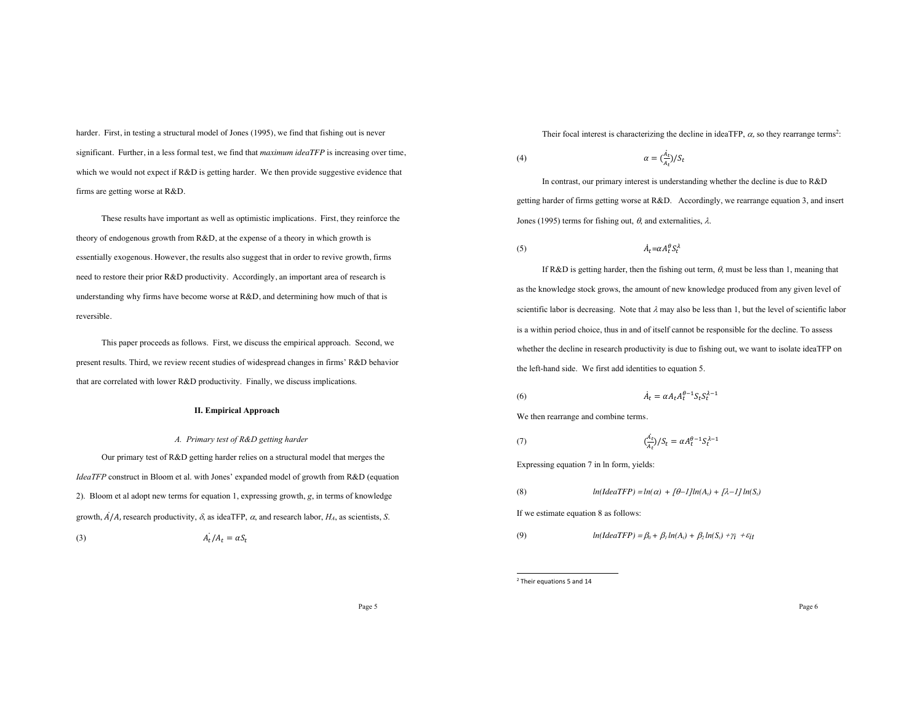harder. First, in testing a structural model of Jones (1995), we find that fishing out is never significant. Further, in a less formal test, we find that *maximum ideaTFP* is increasing over time, which we would not expect if R&D is getting harder. We then provide suggestive evidence that firms are getting worse at R&D.

These results have important as well as optimistic implications. First, they reinforce the theory of endogenous growth from R&D, at the expense of a theory in which growth is essentially exogenous. However, the results also suggest that in order to revive growth, firms need to restore their prior R&D productivity. Accordingly, an important area of research is understanding why firms have become worse at R&D, and determining how much of that is reversible.

This paper proceeds as follows. First, we discuss the empirical approach. Second, we present results. Third, we review recent studies of widespread changes in firms' R&D behavior that are correlated with lower R&D productivity. Finally, we discuss implications.

## **II. Empirical Approach**

### *A. Primary test of R&D getting harder*

Our primary test of R&D getting harder relies on a structural model that merges the *IdeaTFP* construct in Bloom et al. with Jones' expanded model of growth from R&D (equation 2). Bloom et al adopt new terms for equation 1, expressing growth, *g*, in terms of knowledge growth,  $A/A$ , research productivity,  $\delta$ , as ideaTFP,  $\alpha$ , and research labor,  $H_A$ , as scientists, *S*.

(3)  $A_t$ 

$$
A_t/A_t = \alpha S_t
$$

Their focal interest is characterizing the decline in ideaTFP,  $\alpha$ , so they rearrange terms<sup>2</sup>:

$$
\alpha = \left(\frac{A_t}{A_t}\right) / S_t
$$

In contrast, our primary interest is understanding whether the decline is due to R&D getting harder of firms getting worse at R&D. Accordingly, we rearrange equation 3, and insert Jones (1995) terms for fishing out,  $\theta$ , and externalities,  $\lambda$ .

#### (5)  $\dot{A}$  $t = \alpha A_t^{\theta} S_t^{\lambda}$

If R&D is getting harder, then the fishing out term,  $\theta$ , must be less than 1, meaning that as the knowledge stock grows, the amount of new knowledge produced from any given level of scientific labor is decreasing. Note that  $\lambda$  may also be less than 1, but the level of scientific labor is a within period choice, thus in and of itself cannot be responsible for the decline. To assess whether the decline in research productivity is due to fishing out, we want to isolate ideaTFP on the left-hand side. We first add identities to equation 5.

$$
\dot{A}_t = \alpha A_t A_t^{\theta - 1} S_t S_t^{\lambda - 1}
$$

We then rearrange and combine terms.

(7) 
$$
\left(\frac{\dot{A}_t}{A_t}\right)/S_t = \alpha A_t^{\theta-1} S_t^{\lambda-1}
$$

Expressing equation 7 in ln form, yields:

(8)  $ln(IdeaTFP) = ln(\alpha) + \frac{\theta-1}{ln(A_i) + \frac{\lambda-1}{ln(S_i)}}$ 

If we estimate equation 8 as follows:

(9)  $ln(IdearFP) = \beta_0 + \beta_1 ln(A_t) + \beta_2 ln(S_t) + \gamma_i + \varepsilon_i$ 

<sup>2</sup> Their equations 5 and 14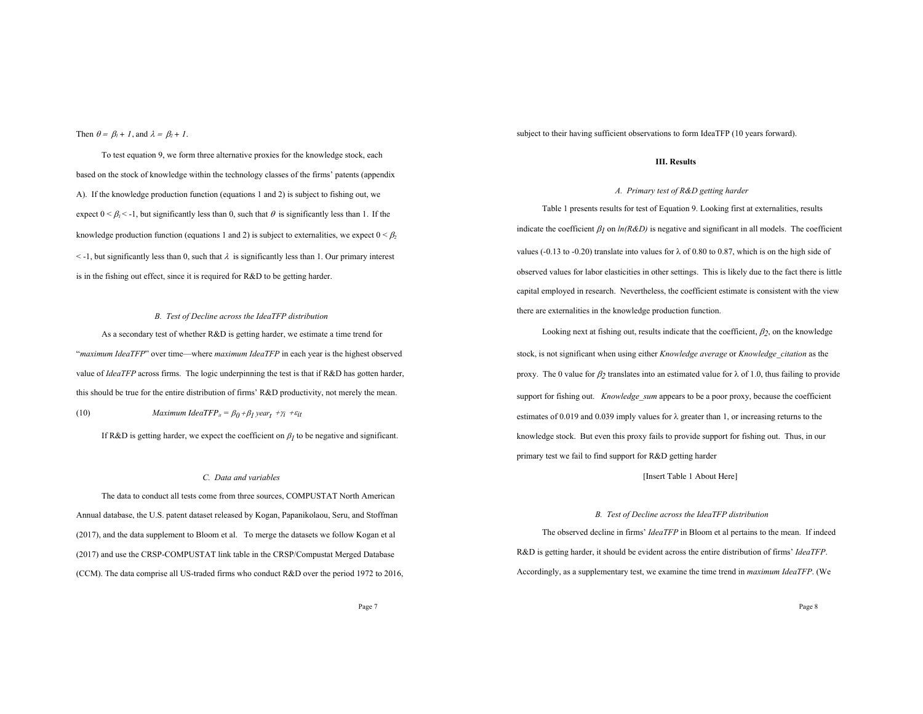Then  $\theta = \beta_l + l$ , and  $\lambda = \beta_2 + l$ .

To test equation 9, we form three alternative proxies for the knowledge stock, each based on the stock of knowledge within the technology classes of the firms' patents (appendix A). If the knowledge production function (equations 1 and 2) is subject to fishing out, we expect  $0 \le \beta_1 \le -1$ , but significantly less than 0, such that  $\theta$  is significantly less than 1. If the knowledge production function (equations 1 and 2) is subject to externalities, we expect  $0 \leq \beta$  $\leq$  -1, but significantly less than 0, such that  $\lambda$  is significantly less than 1. Our primary interest is in the fishing out effect, since it is required for R&D to be getting harder.

# *B. Test of Decline across the IdeaTFP distribution*

As a secondary test of whether R&D is getting harder, we estimate a time trend for "*maximum IdeaTFP*" over time—where *maximum IdeaTFP* in each year is the highest observed value of *IdeaTFP* across firms. The logic underpinning the test is that if R&D has gotten harder, this should be true for the entire distribution of firms' R&D productivity, not merely the mean. (10) *Maximum IdeaTFP*<sub>*it</sub>* =  $\beta_0 + \beta_1$  *year*<sub>t</sub> + $\gamma_i$  + $\varepsilon_{it}$ </sub>

If R&D is getting harder, we expect the coefficient on  $\beta_l$  to be negative and significant.

#### *C. Data and variables*

The data to conduct all tests come from three sources, COMPUSTAT North American Annual database, the U.S. patent dataset released by Kogan, Papanikolaou, Seru, and Stoffman (2017), and the data supplement to Bloom et al. To merge the datasets we follow Kogan et al (2017) and use the CRSP-COMPUSTAT link table in the CRSP/Compustat Merged Database (CCM). The data comprise all US-traded firms who conduct R&D over the period 1972 to 2016, subject to their having sufficient observations to form IdeaTFP (10 years forward).

### **III. Results**

## *A. Primary test of R&D getting harder*

Table 1 presents results for test of Equation 9. Looking first at externalities, results indicate the coefficient  $\beta_l$  on  $ln(R\&D)$  is negative and significant in all models. The coefficient values (-0.13 to -0.20) translate into values for  $\lambda$  of 0.80 to 0.87, which is on the high side of observed values for labor elasticities in other settings. This is likely due to the fact there is little capital employed in research. Nevertheless, the coefficient estimate is consistent with the view there are externalities in the knowledge production function.

Looking next at fishing out, results indicate that the coefficient,  $\beta_2$ , on the knowledge stock, is not significant when using either *Knowledge average* or *Knowledge\_citation* as the proxy. The 0 value for  $\beta_2$  translates into an estimated value for  $\lambda$  of 1.0, thus failing to provide support for fishing out. *Knowledge sum* appears to be a poor proxy, because the coefficient estimates of 0.019 and 0.039 imply values for  $\lambda$  greater than 1, or increasing returns to the knowledge stock. But even this proxy fails to provide support for fishing out. Thus, in our primary test we fail to find support for R&D getting harder

# [Insert Table 1 About Here]

#### *B. Test of Decline across the IdeaTFP distribution*

The observed decline in firms' *IdeaTFP* in Bloom et al pertains to the mean. If indeed R&D is getting harder, it should be evident across the entire distribution of firms' *IdeaTFP*. Accordingly, as a supplementary test, we examine the time trend in *maximum IdeaTFP*. (We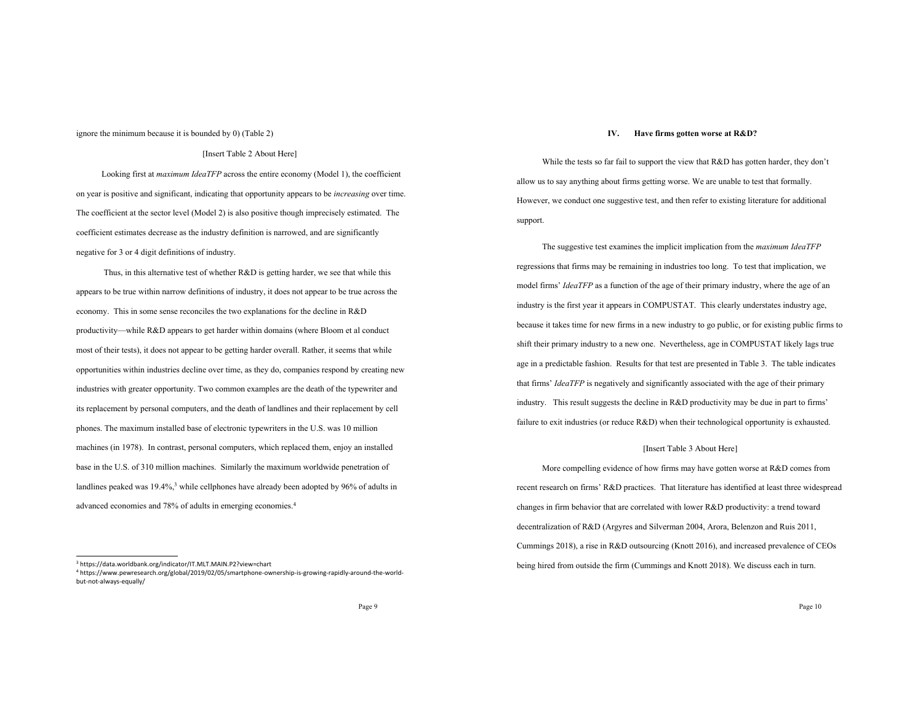#### ignore the minimum because it is bounded by 0) (Table 2)

#### [Insert Table 2 About Here]

Looking first at *maximum IdeaTFP* across the entire economy (Model 1), the coefficient on year is positive and significant, indicating that opportunity appears to be *increasing* over time. The coefficient at the sector level (Model 2) is also positive though imprecisely estimated. The coefficient estimates decrease as the industry definition is narrowed, and are significantly negative for 3 or 4 digit definitions of industry.

Thus, in this alternative test of whether R&D is getting harder, we see that while this appears to be true within narrow definitions of industry, it does not appear to be true across the economy. This in some sense reconciles the two explanations for the decline in R&D productivity—while R&D appears to get harder within domains (where Bloom et al conduct most of their tests), it does not appear to be getting harder overall. Rather, it seems that while opportunities within industries decline over time, as they do, companies respond by creating new industries with greater opportunity. Two common examples are the death of the typewriter and its replacement by personal computers, and the death of landlines and their replacement by cell phones. The maximum installed base of electronic typewriters in the U.S. was 10 million machines (in 1978). In contrast, personal computers, which replaced them, enjoy an installed base in the U.S. of 310 million machines. Similarly the maximum worldwide penetration of landlines peaked was  $19.4\%,$ <sup>3</sup> while cellphones have already been adopted by  $96\%$  of adults in advanced economies and 78% of adults in emerging economies.4

#### **IV. Have firms gotten worse at R&D?**

While the tests so far fail to support the view that R&D has gotten harder, they don't allow us to say anything about firms getting worse. We are unable to test that formally. However, we conduct one suggestive test, and then refer to existing literature for additional support.

The suggestive test examines the implicit implication from the *maximum IdeaTFP* regressions that firms may be remaining in industries too long. To test that implication, we model firms' *IdeaTFP* as a function of the age of their primary industry, where the age of an industry is the first year it appears in COMPUSTAT. This clearly understates industry age, because it takes time for new firms in a new industry to go public, or for existing public firms to shift their primary industry to a new one. Nevertheless, age in COMPUSTAT likely lags true age in a predictable fashion. Results for that test are presented in Table 3. The table indicates that firms' *IdeaTFP* is negatively and significantly associated with the age of their primary industry. This result suggests the decline in R&D productivity may be due in part to firms' failure to exit industries (or reduce R&D) when their technological opportunity is exhausted.

# [Insert Table 3 About Here]

More compelling evidence of how firms may have gotten worse at R&D comes from recent research on firms' R&D practices. That literature has identified at least three widespread changes in firm behavior that are correlated with lower R&D productivity: a trend toward decentralization of R&D (Argyres and Silverman 2004, Arora, Belenzon and Ruis 2011, Cummings 2018), a rise in R&D outsourcing (Knott 2016), and increased prevalence of CEOs being hired from outside the firm (Cummings and Knott 2018). We discuss each in turn.

<sup>3</sup> https://data.worldbank.org/indicator/IT.MLT.MAIN.P2?view=chart

<sup>4</sup> https://www.pewresearch.org/global/2019/02/05/smartphone-ownership-is-growing-rapidly-around-the-worldbut-not-always-equally/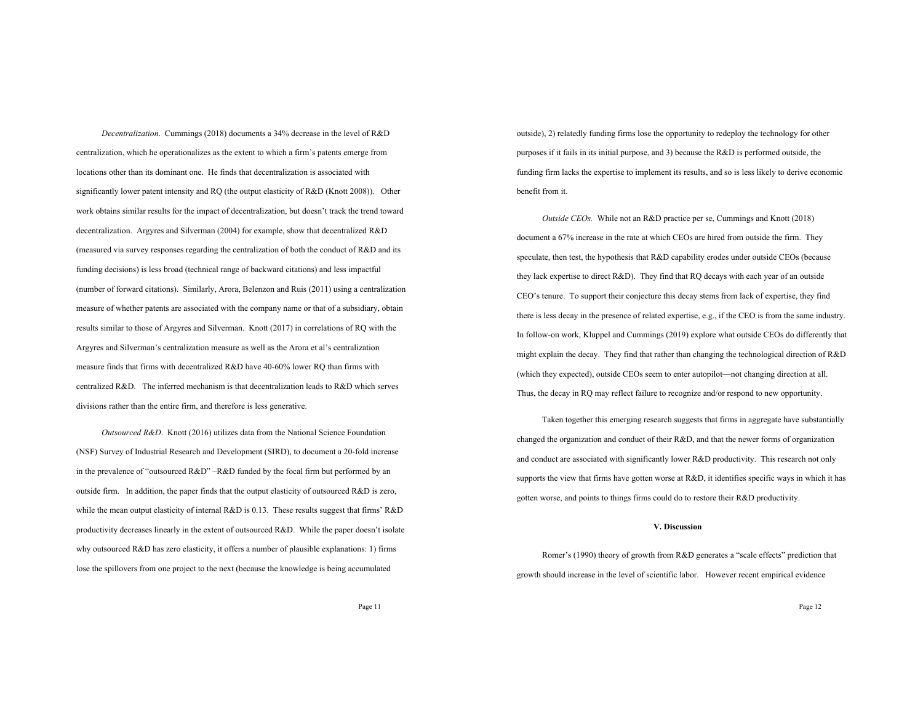*Decentralization*. Cummings (2018) documents a 34% decrease in the level of R&D centralization, which he operationalizes as the extent to which a firm's patents emerge from locations other than its dominant one. He finds that decentralization is associated with significantly lower patent intensity and RQ (the output elasticity of R&D (Knott 2008)). Other work obtains similar results for the impact of decentralization, but doesn't track the trend toward decentralization. Argyres and Silverman (2004) for example, show that decentralized R&D (measured via survey responses regarding the centralization of both the conduct of R&D and its funding decisions) is less broad (technical range of backward citations) and less impactful (number of forward citations). Similarly, Arora, Belenzon and Ruis (2011) using a centralization measure of whether patents are associated with the company name or that of a subsidiary, obtain results similar to those of Argyres and Silverman. Knott (2017) in correlations of RQ with the Argyres and Silverman's centralization measure as well as the Arora et al's centralization measure finds that firms with decentralized R&D have 40-60% lower RQ than firms with centralized R&D. The inferred mechanism is that decentralization leads to R&D which serves divisions rather than the entire firm, and therefore is less generative.

*Outsourced R&D*. Knott (2016) utilizes data from the National Science Foundation (NSF) Survey of Industrial Research and Development (SIRD), to document a 20-fold increase in the prevalence of "outsourced R&D" –R&D funded by the focal firm but performed by an outside firm. In addition, the paper finds that the output elasticity of outsourced R&D is zero, while the mean output elasticity of internal R&D is 0.13. These results suggest that firms' R&D productivity decreases linearly in the extent of outsourced R&D. While the paper doesn't isolate why outsourced  $R&D$  has zero elasticity, it offers a number of plausible explanations: 1) firms lose the spillovers from one project to the next (because the knowledge is being accumulated

outside), 2) relatedly funding firms lose the opportunity to redeploy the technology for other purposes if it fails in its initial purpose, and 3) because the R&D is performed outside, the funding firm lacks the expertise to implement its results, and so is less likely to derive economic benefit from it.

*Outside CEOs.* While not an R&D practice per se, Cummings and Knott (2018) document a 67% increase in the rate at which CEOs are hired from outside the firm. They speculate, then test, the hypothesis that R&D capability erodes under outside CEOs (because they lack expertise to direct R&D). They find that RQ decays with each year of an outside CEO's tenure. To support their conjecture this decay stems from lack of expertise, they find there is less decay in the presence of related expertise, e.g., if the CEO is from the same industry. In follow-on work, Kluppel and Cummings (2019) explore what outside CEOs do differently that might explain the decay. They find that rather than changing the technological direction of R&D (which they expected), outside CEOs seem to enter autopilot—not changing direction at all. Thus, the decay in RQ may reflect failure to recognize and/or respond to new opportunity.

Taken together this emerging research suggests that firms in aggregate have substantially changed the organization and conduct of their R&D, and that the newer forms of organization and conduct are associated with significantly lower R&D productivity. This research not only supports the view that firms have gotten worse at  $R&D$ , it identifies specific ways in which it has gotten worse, and points to things firms could do to restore their R&D productivity.

# **V. Discussion**

Romer's (1990) theory of growth from R&D generates a "scale effects" prediction that growth should increase in the level of scientific labor. However recent empirical evidence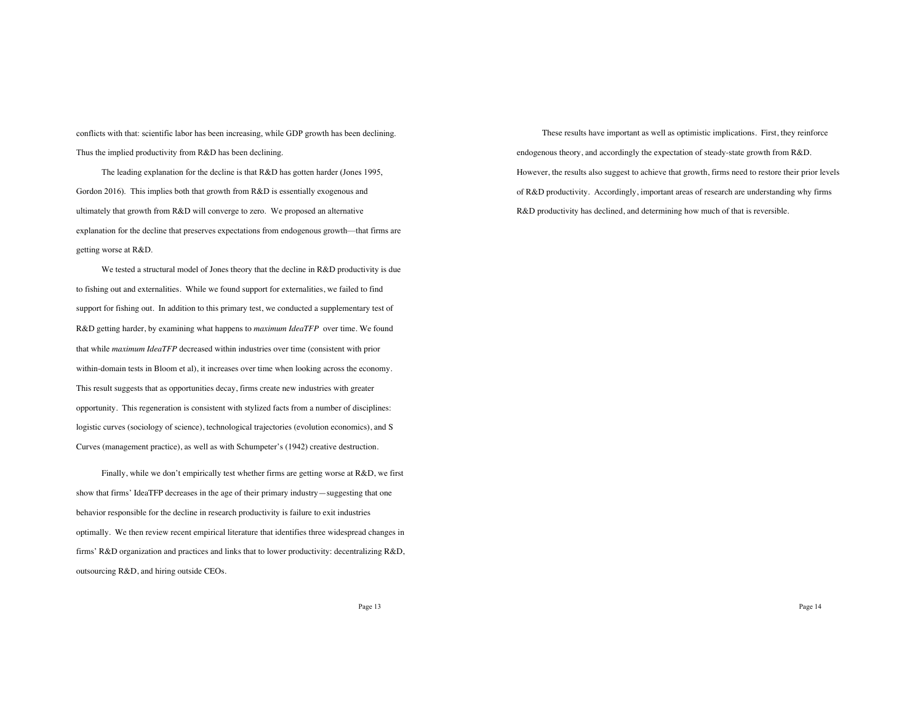conflicts with that: scientific labor has been increasing, while GDP growth has been declining. Thus the implied productivity from R&D has been declining.

The leading explanation for the decline is that R&D has gotten harder (Jones 1995, Gordon 2016). This implies both that growth from R&D is essentially exogenous and ultimately that growth from R&D will converge to zero. We proposed an alternative explanation for the decline that preserves expectations from endogenous growth—that firms are getting worse at R&D.

We tested a structural model of Jones theory that the decline in R&D productivity is due to fishing out and externalities. While we found support for externalities, we failed to find support for fishing out. In addition to this primary test, we conducted a supplementary test of R&D getting harder, by examining what happens to *maximum IdeaTFP* over time. We found that while *maximum IdeaTFP* decreased within industries over time (consistent with prior within-domain tests in Bloom et al), it increases over time when looking across the economy. This result suggests that as opportunities decay, firms create new industries with greater opportunity. This regeneration is consistent with stylized facts from a number of disciplines: logistic curves (sociology of science), technological trajectories (evolution economics), and S Curves (management practice), as well as with Schumpeter's (1942) creative destruction.

Finally, while we don't empirically test whether firms are getting worse at R&D, we first show that firms' IdeaTFP decreases in the age of their primary industry—suggesting that one behavior responsible for the decline in research productivity is failure to exit industries optimally. We then review recent empirical literature that identifies three widespread changes in firms' R&D organization and practices and links that to lower productivity: decentralizing R&D, outsourcing R&D, and hiring outside CEOs.

These results have important as well as optimistic implications. First, they reinforce endogenous theory, and accordingly the expectation of steady-state growth from R&D. However, the results also suggest to achieve that growth, firms need to restore their prior levels of R&D productivity. Accordingly, important areas of research are understanding why firms R&D productivity has declined, and determining how much of that is reversible.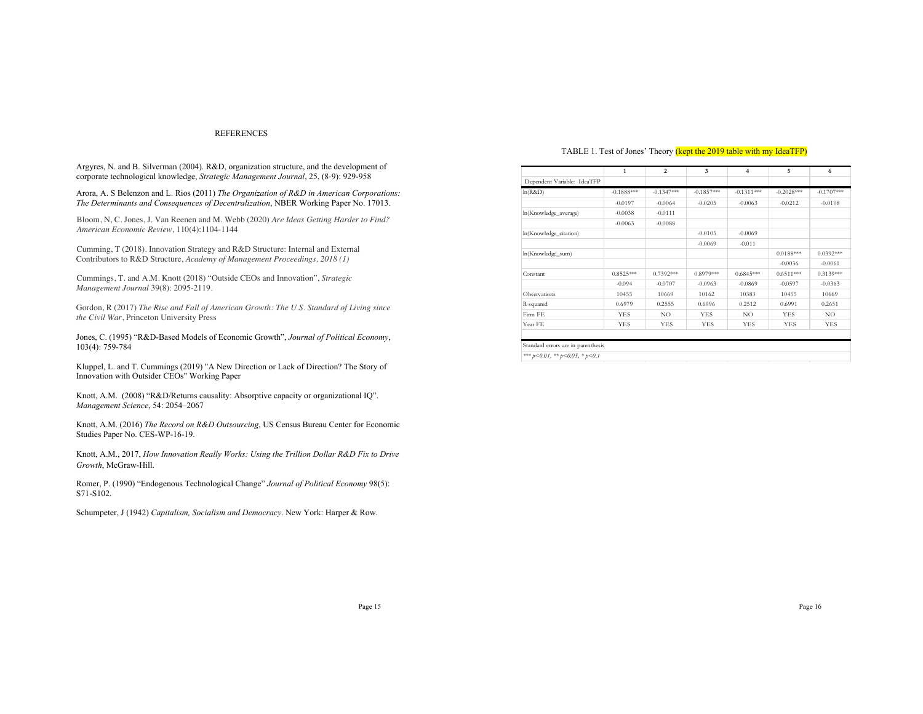### REFERENCES

Argyres, N. and B. Silverman (2004). R&D, organization structure, and the development of corporate technological knowledge, *Strategic Management Journal*, 25, (8-9): 929-958

Arora, A. S Belenzon and L. Rios (2011) *The Organization of R&D in American Corporations: The Determinants and Consequences of Decentralization*, NBER Working Paper No. 17013.

Bloom, N, C. Jones, J. Van Reenen and M. Webb (2020) *Are Ideas Getting Harder to Find? American Economic Review*, 110(4):1104-1144

Cumming, T (2018). Innovation Strategy and R&D Structure: Internal and External Contributors to R&D Structure, *Academy of Management Proceedings, 2018 (1)*

Cummings, T. and A.M. Knott (2018) "Outside CEOs and Innovation", *Strategic Management Journal* 39(8): 2095-2119.

Gordon, R (2017) *The Rise and Fall of American Growth: The U.S. Standard of Living since the Civil War*, Princeton University Press

Jones, C. (1995) "R&D-Based Models of Economic Growth", *Journal of Political Economy*, 103(4): 759-784

Kluppel, L. and T. Cummings (2019) "A New Direction or Lack of Direction? The Story of Innovation with Outsider CEOs" Working Paper

Knott, A.M. (2008) "R&D/Returns causality: Absorptive capacity or organizational IQ". *Management Science*, 54: 2054–2067

Knott, A.M. (2016) *The Record on R&D Outsourcing*, US Census Bureau Center for Economic Studies Paper No. CES-WP-16-19.

Knott, A.M., 2017, *How Innovation Really Works: Using the Trillion Dollar R&D Fix to Drive Growth*, McGraw-Hill.

Romer, P. (1990) "Endogenous Technological Change" *Journal of Political Economy* 98(5): S71-S102.

Schumpeter, J (1942) *Capitalism, Socialism and Democracy*. New York: Harper & Row.

# TABLE 1. Test of Jones' Theory (kept the 2019 table with my IdeaTFP)

|                                        | $\mathbf{1}$ | $\overline{2}$ | $\overline{\mathbf{3}}$ | 4            | 5            | 6            |
|----------------------------------------|--------------|----------------|-------------------------|--------------|--------------|--------------|
| Dependent Variable: IdeaTFP            |              |                |                         |              |              |              |
| ln(R&D)                                | $-0.1888***$ | $-0.1347***$   | $-0.1857***$            | $-0.1311***$ | $-0.2028***$ | $-0.1707***$ |
|                                        | $-0.0197$    | $-0.0064$      | $-0.0205$               | $-0.0063$    | $-0.0212$    | $-0.0108$    |
| ln(Knowledge_average)                  | $-0.0038$    | $-0.0111$      |                         |              |              |              |
|                                        | $-0.0063$    | $-0.0088$      |                         |              |              |              |
| ln(Knowledge_citation)                 |              |                | $-0.0105$               | $-0.0069$    |              |              |
|                                        |              |                | $-0.0069$               | $-0.011$     |              |              |
| ln(Knowledge_sum)                      |              |                |                         |              | $0.0188***$  | $0.0392***$  |
|                                        |              |                |                         |              | $-0.0036$    | $-0.0061$    |
| Constant                               | $0.8525***$  | $0.7392***$    | $0.8979***$             | $0.6845***$  | $0.6511***$  | $0.3139***$  |
|                                        | $-0.094$     | $-0.0707$      | $-0.0963$               | $-0.0869$    | $-0.0597$    | $-0.0363$    |
| Observations                           | 10455        | 10669          | 10162                   | 10383        | 10455        | 10669        |
| R-squared                              | 0.6979       | 0.2555         | 0.6996                  | 0.2512       | 0.6991       | 0.2651       |
| Firm FE                                | <b>YES</b>   | NO             | <b>YES</b>              | NO           | <b>YES</b>   | NO.          |
| Year FE                                | <b>YES</b>   | <b>YES</b>     | <b>YES</b>              | <b>YES</b>   | <b>YES</b>   | <b>YES</b>   |
|                                        |              |                |                         |              |              |              |
| Standard errors are in parenthesis     |              |                |                         |              |              |              |
| *** $p<0.01$ , ** $p<0.05$ , * $p<0.1$ |              |                |                         |              |              |              |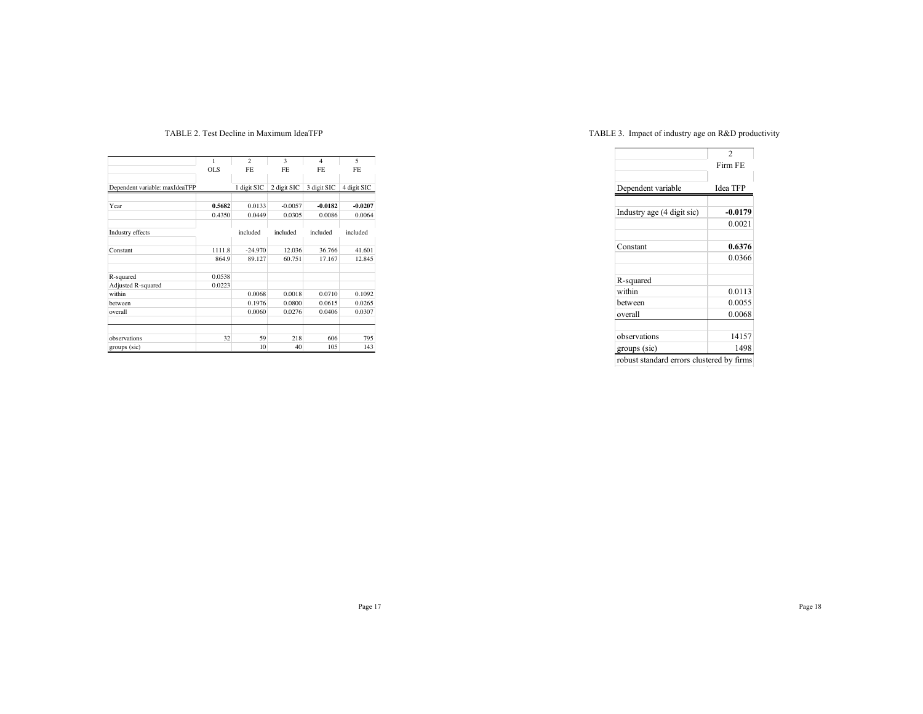# TABLE 2. Test Decline in Maximum IdeaTFP

|                                | 1          | $\overline{c}$ | 3           | $\overline{4}$ | 5           |
|--------------------------------|------------|----------------|-------------|----------------|-------------|
|                                | <b>OLS</b> | FE.            | FE.         | FE.            | <b>FE</b>   |
|                                |            |                |             |                |             |
| Dependent variable: maxIdeaTFP |            | 1 digit SIC    | 2 digit SIC | 3 digit SIC    | 4 digit SIC |
|                                |            |                |             |                |             |
| Year                           | 0.5682     | 0.0133         | $-0.0057$   | $-0.0182$      | $-0.0207$   |
|                                | 0.4350     | 0.0449         | 0.0305      | 0.0086         | 0.0064      |
|                                |            |                |             |                |             |
| Industry effects               |            | included       | included    | included       | included    |
|                                |            |                |             |                |             |
| Constant                       | 1111.8     | $-24.970$      | 12.036      | 36.766         | 41.601      |
|                                | 864.9      | 89.127         | 60.751      | 17.167         | 12.845      |
|                                |            |                |             |                |             |
| R-squared                      | 0.0538     |                |             |                |             |
| Adjusted R-squared             | 0.0223     |                |             |                |             |
| within                         |            | 0.0068         | 0.0018      | 0.0710         | 0.1092      |
| between                        |            | 0.1976         | 0.0800      | 0.0615         | 0.0265      |
| overall                        |            | 0.0060         | 0.0276      | 0.0406         | 0.0307      |
|                                |            |                |             |                |             |
|                                |            |                |             |                |             |
| observations                   | 32         | 59             | 218         | 606            | 795         |
| groups (sic)                   |            | 10             | 40          | 105            | 143         |

# TABLE 3. Impact of industry age on R&D productivity

|                                           | $\overline{c}$  |  |  |
|-------------------------------------------|-----------------|--|--|
|                                           | Firm FE         |  |  |
|                                           |                 |  |  |
| Dependent variable                        | <b>Idea TFP</b> |  |  |
|                                           |                 |  |  |
| Industry age (4 digit sic)                | $-0.0179$       |  |  |
|                                           | 0.0021          |  |  |
|                                           |                 |  |  |
| Constant                                  | 0.6376          |  |  |
|                                           | 0.0366          |  |  |
| R-squared                                 |                 |  |  |
| within                                    | 0.0113          |  |  |
| hetween                                   | 0.0055          |  |  |
| overall                                   | 0.0068          |  |  |
|                                           |                 |  |  |
| observations                              | 14157           |  |  |
| groups (sic)                              | 1498            |  |  |
| robust standard errors clustered by firms |                 |  |  |